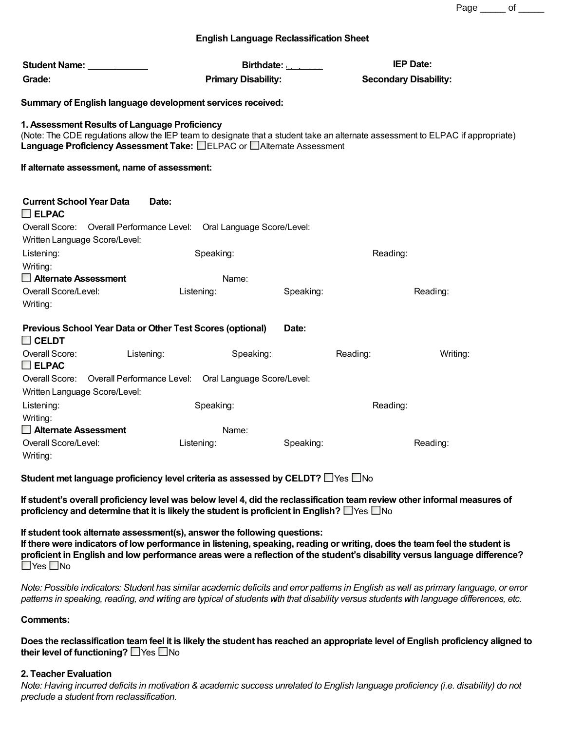Page \_\_\_\_\_ of \_\_\_\_\_

# **English Language Reclassification Sheet**

| Student Name: _____________<br>Grade:                                                                                                                                                                                                                    | <b>Primary Disability:</b> | Birthdate: $\frac{1}{2}$ | <b>IEP Date:</b><br><b>Secondary Disability:</b> |
|----------------------------------------------------------------------------------------------------------------------------------------------------------------------------------------------------------------------------------------------------------|----------------------------|--------------------------|--------------------------------------------------|
| Summary of English language development services received:                                                                                                                                                                                               |                            |                          |                                                  |
| 1. Assessment Results of Language Proficiency<br>(Note: The CDE regulations allow the IEP team to designate that a student take an alternate assessment to ELPAC if appropriate)<br>Language Proficiency Assessment Take: ELPAC or EAIternate Assessment |                            |                          |                                                  |
| If alternate assessment, name of assessment:                                                                                                                                                                                                             |                            |                          |                                                  |
| <b>Current School Year Data</b><br>$\Box$ ELPAC                                                                                                                                                                                                          | Date:                      |                          |                                                  |
| Overall Score: Overall Performance Level: Oral Language Score/Level:<br>Written Language Score/Level:                                                                                                                                                    |                            |                          |                                                  |
| Listening:                                                                                                                                                                                                                                               | Speaking:                  |                          | Reading:                                         |
| Writing:<br>$\Box$ Alternate Assessment                                                                                                                                                                                                                  | Name:                      |                          |                                                  |
| Overall Score/Level:<br>Writing:                                                                                                                                                                                                                         | Listening:                 | Speaking:                | Reading:                                         |
| Previous School Year Data or Other Test Scores (optional)<br>Date:<br>$\square$ CELDT                                                                                                                                                                    |                            |                          |                                                  |
| Overall Score:<br>Listening:<br>$\square$ ELPAC                                                                                                                                                                                                          | Speaking:                  | Reading:                 | Writing:                                         |
| Overall Score: Overall Performance Level: Oral Language Score/Level:<br>Written Language Score/Level:                                                                                                                                                    |                            |                          |                                                  |
| Listening:<br>Writing:                                                                                                                                                                                                                                   | Speaking:                  |                          | Reading:                                         |
| Alternate Assessment                                                                                                                                                                                                                                     | Name:                      |                          |                                                  |
| Overall Score/Level:<br>Writing:                                                                                                                                                                                                                         | Listening:                 | Speaking:                | Reading:                                         |

**Student met language proficiency level criteria as assessed by CELDT?** Yes No

If student's overall proficiency level was below level 4, did the reclassification team review other informal measures of **proficiency and determine that it is likely the student is proficient in English?** Yes No

**If student took alternate assessment(s), answer the following questions:**

If there were indicators of low performance in listening, speaking, reading or writing, does the team feel the student is proficient in English and low performance areas were a reflection of the student's disability versus language difference?  $\Box$ Yes  $\Box$ No

Note: Possible indicators: Student has similar academic deficits and error patterns in English as well as primary language, or error patterns in speaking, reading, and writing are typical of students with that disability versus students with language differences, etc.

# **Comments:**

Does the reclassification team feel it is likely the student has reached an appropriate level of English proficiency aligned to **their level of functioning?** □ Yes □ No

# **2. Teacher Evaluation**

Note: Having incurred deficits in motivation & academic success unrelated to English language proficiency (i.e. disability) do not *preclude a student from reclassification.*